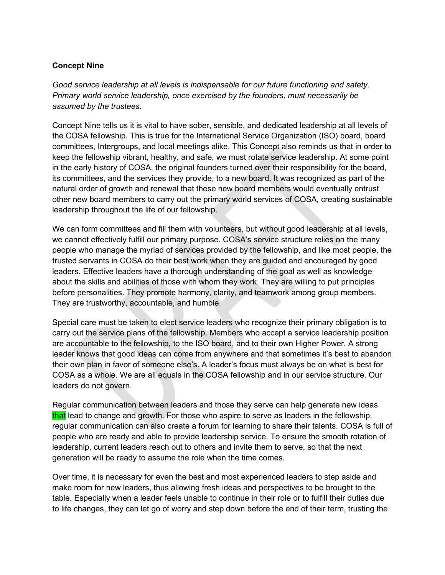## **Concept Nine**

*Good service leadership at all levels is indispensable for our future functioning and safety. Primary world service leadership, once exercised by the founders, must necessarily be assumed by the trustees.*

Concept Nine tells us it is vital to have sober, sensible, and dedicated leadership at all levels of the COSA fellowship. This is true for the International Service Organization (ISO) board, board committees, Intergroups, and local meetings alike. This Concept also reminds us that in order to keep the fellowship vibrant, healthy, and safe, we must rotate service leadership. At some point in the early history of COSA, the original founders turned over their responsibility for the board, its committees, and the services they provide, to a new board. It was recognized as part of the natural order of growth and renewal that these new board members would eventually entrust other new board members to carry out the primary world services of COSA, creating sustainable leadership throughout the life of our fellowship.

We can form committees and fill them with volunteers, but without good leadership at all levels, we cannot effectively fulfill our primary purpose. COSA's service structure relies on the many people who manage the myriad of services provided by the fellowship, and like most people, the trusted servants in COSA do their best work when they are guided and encouraged by good leaders. Effective leaders have a thorough understanding of the goal as well as knowledge about the skills and abilities of those with whom they work. They are willing to put principles before personalities. They promote harmony, clarity, and teamwork among group members. They are trustworthy, accountable, and humble.

Special care must be taken to elect service leaders who recognize their primary obligation is to carry out the service plans of the fellowship. Members who accept a service leadership position are accountable to the fellowship, to the ISO board, and to their own Higher Power. A strong leader knows that good ideas can come from anywhere and that sometimes it's best to abandon their own plan in favor of someone else's. A leader's focus must always be on what is best for COSA as a whole. We are all equals in the COSA fellowship and in our service structure. Our leaders do not govern.

Regular communication between leaders and those they serve can help generate new ideas that lead to change and growth. For those who aspire to serve as leaders in the fellowship, regular communication can also create a forum for learning to share their talents. COSA is full of people who are ready and able to provide leadership service. To ensure the smooth rotation of leadership, current leaders reach out to others and invite them to serve, so that the next generation will be ready to assume the role when the time comes.

Over time, it is necessary for even the best and most experienced leaders to step aside and make room for new leaders, thus allowing fresh ideas and perspectives to be brought to the table. Especially when a leader feels unable to continue in their role or to fulfill their duties due to life changes, they can let go of worry and step down before the end of their term, trusting the